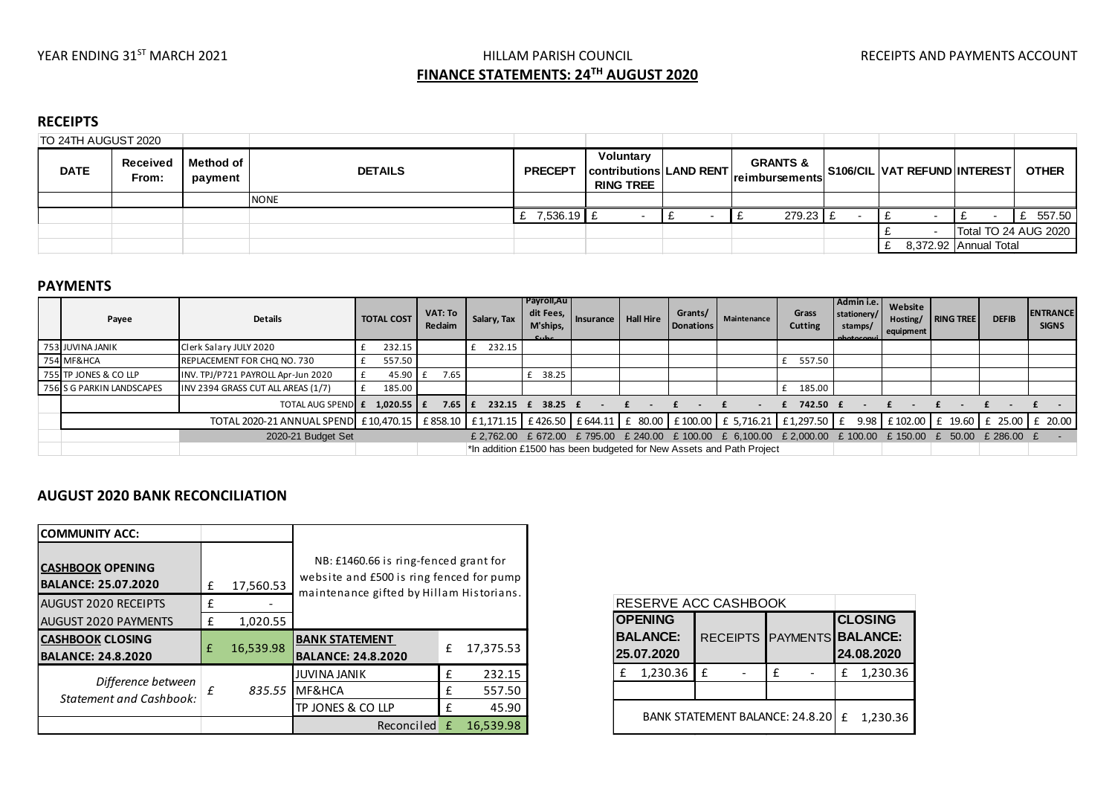## YEAR ENDING 31<sup>ST</sup> MARCH 2021 **Subset and ACCOUNT HILLAM PARISH COUNCIL** THE RECEIPTS AND PAYMENTS ACCOUNT

# **FINANCE STATEMENTS: 24TH AUGUST 2020**

#### **RECEIPTS**

| TO 24TH AUGUST 2020 |                   |                        |                |                |                                                          |                                               |                              |                       |                      |
|---------------------|-------------------|------------------------|----------------|----------------|----------------------------------------------------------|-----------------------------------------------|------------------------------|-----------------------|----------------------|
| <b>DATE</b>         | Received<br>From: | l Method of<br>payment | <b>DETAILS</b> | <b>PRECEPT</b> | Voluntary<br>contributions LAND RENT<br><b>RING TREE</b> | <b>GRANTS &amp;</b><br><b>Ireimbursements</b> | S106/CIL VAT REFUND INTEREST |                       | <b>OTHER</b>         |
|                     |                   |                        | <b>NONE</b>    |                |                                                          |                                               |                              |                       |                      |
|                     |                   |                        |                | $7,536.19$ f   |                                                          | $279.23$ £                                    |                              |                       | 557.50               |
|                     |                   |                        |                |                |                                                          |                                               |                              |                       | Total TO 24 AUG 2020 |
|                     |                   |                        |                |                |                                                          |                                               |                              | 8,372.92 Annual Total |                      |

#### **PAYMENTS**

| Payee                     | <b>Details</b>                                                                                                                                               | <b>TOTAL COST</b> | VAT: To<br>Reclaim | Salary, Tax | Payroll, Au<br>dit Fees,<br>M'ships,<br>C <sub>1</sub> | Insurance   Hall Hire | Grants/<br>Donations | Maintenance                                                                                               | Grass<br>Cutting | Admin i.e.  <br>stationery/<br>stamps/<br>photocomu | Website<br>equipment | Hosting/ RING TREE | <b>DEFIB</b> | <b>ENTRANCE</b><br><b>SIGNS</b> |
|---------------------------|--------------------------------------------------------------------------------------------------------------------------------------------------------------|-------------------|--------------------|-------------|--------------------------------------------------------|-----------------------|----------------------|-----------------------------------------------------------------------------------------------------------|------------------|-----------------------------------------------------|----------------------|--------------------|--------------|---------------------------------|
| 753 JUVINA JANIK          | Clerk Salary JULY 2020                                                                                                                                       | 232.15            |                    | 232.15      |                                                        |                       |                      |                                                                                                           |                  |                                                     |                      |                    |              |                                 |
| 754 MF&HCA                | REPLACEMENT FOR CHQ NO. 730                                                                                                                                  | 557.50            |                    |             |                                                        |                       |                      |                                                                                                           | 557.50           |                                                     |                      |                    |              |                                 |
| 755 TP JONES & CO LLP     | INV. TPJ/P721 PAYROLL Apr-Jun 2020                                                                                                                           | $45.90$ f         | 7.65               |             | £ 38.25                                                |                       |                      |                                                                                                           |                  |                                                     |                      |                    |              |                                 |
| 756 S G PARKIN LANDSCAPES | INV 2394 GRASS CUT ALL AREAS (1/7)                                                                                                                           | 185.00<br>£       |                    |             |                                                        |                       |                      |                                                                                                           | 185.00           |                                                     |                      |                    |              |                                 |
|                           | <b>TOTAL AUG SPENDE E</b>                                                                                                                                    | 1.020.55 $E$      | $7.65 \text{ L}$   |             | 232.15 £ 38.25 £                                       |                       |                      |                                                                                                           | 742.50 £         |                                                     |                      |                    |              |                                 |
|                           | TOTAL 2020-21 ANNUAL SPEND £10,470.15 £858.10 £1,171.15 £426.50 £644.11 £ 80.00 £100.00 £ 5,716.21 £1,297.50 £ 9.98 £102.00 £ 102.00 £ 25.00 £ 25.00 £ 20.00 |                   |                    |             |                                                        |                       |                      |                                                                                                           |                  |                                                     |                      |                    |              |                                 |
|                           | 2020-21 Budget Set                                                                                                                                           |                   |                    |             |                                                        |                       |                      | £ 2,762.00 £ 672.00 £ 795.00 £ 240.00 £ 100.00 £ 6,100.00 £ 2,000.00 £ 100.00 £ 150.00 £ 50.00 £ 286.00 £ |                  |                                                     |                      |                    |              |                                 |
|                           |                                                                                                                                                              |                   |                    |             |                                                        |                       |                      | *In addition £1500 has been budgeted for New Assets and Path Project                                      |                  |                                                     |                      |                    |              |                                 |

### **AUGUST 2020 BANK RECONCILIATION**

| <b>COMMUNITY ACC:</b>                                                                |   |           |                                                                                   |   |           |  |  |  |
|--------------------------------------------------------------------------------------|---|-----------|-----------------------------------------------------------------------------------|---|-----------|--|--|--|
| <b>CASHBOOK OPENING</b><br><b>BALANCE: 25.07.2020</b><br><b>AUGUST 2020 RECEIPTS</b> |   | 17,560.53 | NB: £1460.66 is ring-fenced grant for<br>website and £500 is ring fenced for pump |   |           |  |  |  |
|                                                                                      |   |           | maintenance gifted by Hillam Historians.                                          |   |           |  |  |  |
| <b>AUGUST 2020 PAYMENTS</b>                                                          | £ | 1,020.55  |                                                                                   |   |           |  |  |  |
| <b>CASHBOOK CLOSING</b><br><b>BALANCE: 24.8.2020</b>                                 | £ | 16,539.98 | <b>BANK STATEMENT</b><br><b>BALANCE: 24.8.2020</b>                                | £ | 17,375.53 |  |  |  |
|                                                                                      |   |           | <b>JUVINA JANIK</b>                                                               | £ | 232.15    |  |  |  |
| Difference between<br><b>Statement and Cashbook:</b>                                 | f | 835.55    | MF&HCA                                                                            | £ | 557.50    |  |  |  |
|                                                                                      |   |           | TP JONES & CO LLP                                                                 | £ | 45.90     |  |  |  |
|                                                                                      |   |           | Reconciled                                                                        | f | 16,539.98 |  |  |  |

|   | RESERVE ACC CASHBOOK                            |   |          |                                                            |          |  |
|---|-------------------------------------------------|---|----------|------------------------------------------------------------|----------|--|
|   | <b>OPENING</b><br><b>BALANCE:</b><br>25.07.2020 |   |          | <b>CLOSING</b><br>RECEIPTS PAYMENTS BALANCE:<br>24.08.2020 |          |  |
| £ | 1,230.36                                        | £ | f        | £                                                          | 1,230.36 |  |
|   |                                                 |   |          |                                                            |          |  |
|   | <b>BANK STATEMENT BALANCE: 24.8.20</b>          | f | 1,230.36 |                                                            |          |  |